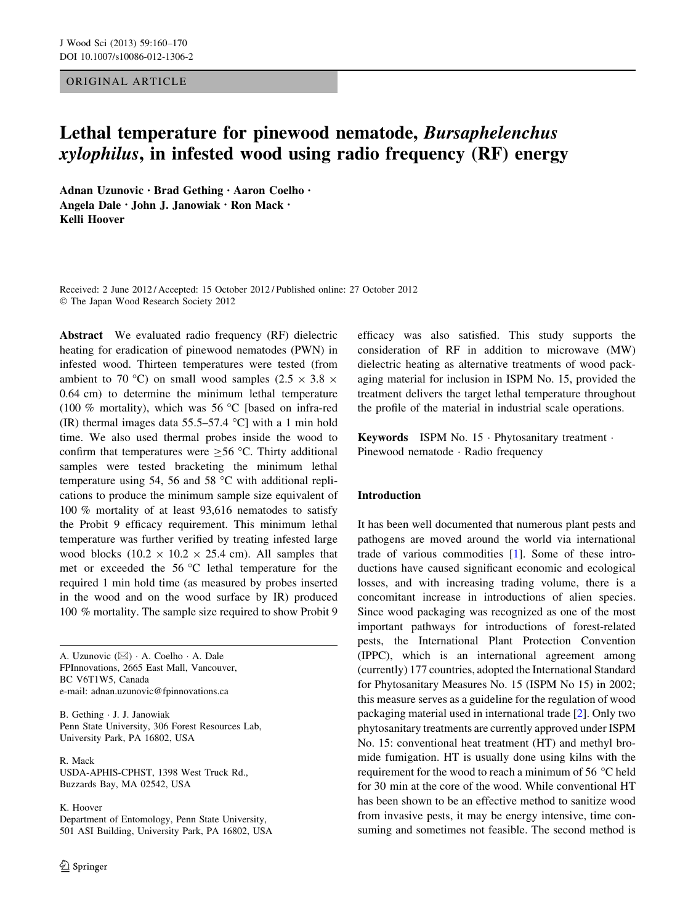# ORIGINAL ARTICLE

# Lethal temperature for pinewood nematode, Bursaphelenchus xylophilus, in infested wood using radio frequency (RF) energy

Adnan Uzunovic • Brad Gething • Aaron Coelho • Angela Dale • John J. Janowiak • Ron Mack • Kelli Hoover

Received: 2 June 2012 / Accepted: 15 October 2012 / Published online: 27 October 2012 - The Japan Wood Research Society 2012

Abstract We evaluated radio frequency (RF) dielectric heating for eradication of pinewood nematodes (PWN) in infested wood. Thirteen temperatures were tested (from ambient to 70 °C) on small wood samples (2.5  $\times$  3.8  $\times$ 0.64 cm) to determine the minimum lethal temperature (100 % mortality), which was 56 °C [based on infra-red (IR) thermal images data  $55.5-57.4$  °C] with a 1 min hold time. We also used thermal probes inside the wood to confirm that temperatures were  $\geq$  56 °C. Thirty additional samples were tested bracketing the minimum lethal temperature using 54, 56 and 58  $^{\circ}$ C with additional replications to produce the minimum sample size equivalent of 100 % mortality of at least 93,616 nematodes to satisfy the Probit 9 efficacy requirement. This minimum lethal temperature was further verified by treating infested large wood blocks  $(10.2 \times 10.2 \times 25.4 \text{ cm})$ . All samples that met or exceeded the  $56^{\circ}$ C lethal temperature for the required 1 min hold time (as measured by probes inserted in the wood and on the wood surface by IR) produced 100 % mortality. The sample size required to show Probit 9

A. Uzunovic (&) - A. Coelho - A. Dale FPInnovations, 2665 East Mall, Vancouver, BC V6T1W5, Canada e-mail: adnan.uzunovic@fpinnovations.ca

B. Gething - J. J. Janowiak Penn State University, 306 Forest Resources Lab, University Park, PA 16802, USA

R. Mack USDA-APHIS-CPHST, 1398 West Truck Rd., Buzzards Bay, MA 02542, USA

K. Hoover

Department of Entomology, Penn State University, 501 ASI Building, University Park, PA 16802, USA efficacy was also satisfied. This study supports the consideration of RF in addition to microwave (MW) dielectric heating as alternative treatments of wood packaging material for inclusion in ISPM No. 15, provided the treatment delivers the target lethal temperature throughout the profile of the material in industrial scale operations.

Keywords ISPM No. 15 · Phytosanitary treatment · Pinewood nematode · Radio frequency

### Introduction

It has been well documented that numerous plant pests and pathogens are moved around the world via international trade of various commodities [\[1](#page-10-0)]. Some of these introductions have caused significant economic and ecological losses, and with increasing trading volume, there is a concomitant increase in introductions of alien species. Since wood packaging was recognized as one of the most important pathways for introductions of forest-related pests, the International Plant Protection Convention (IPPC), which is an international agreement among (currently) 177 countries, adopted the International Standard for Phytosanitary Measures No. 15 (ISPM No 15) in 2002; this measure serves as a guideline for the regulation of wood packaging material used in international trade [[2](#page-10-0)]. Only two phytosanitary treatments are currently approved under ISPM No. 15: conventional heat treatment (HT) and methyl bromide fumigation. HT is usually done using kilns with the requirement for the wood to reach a minimum of 56 °C held for 30 min at the core of the wood. While conventional HT has been shown to be an effective method to sanitize wood from invasive pests, it may be energy intensive, time consuming and sometimes not feasible. The second method is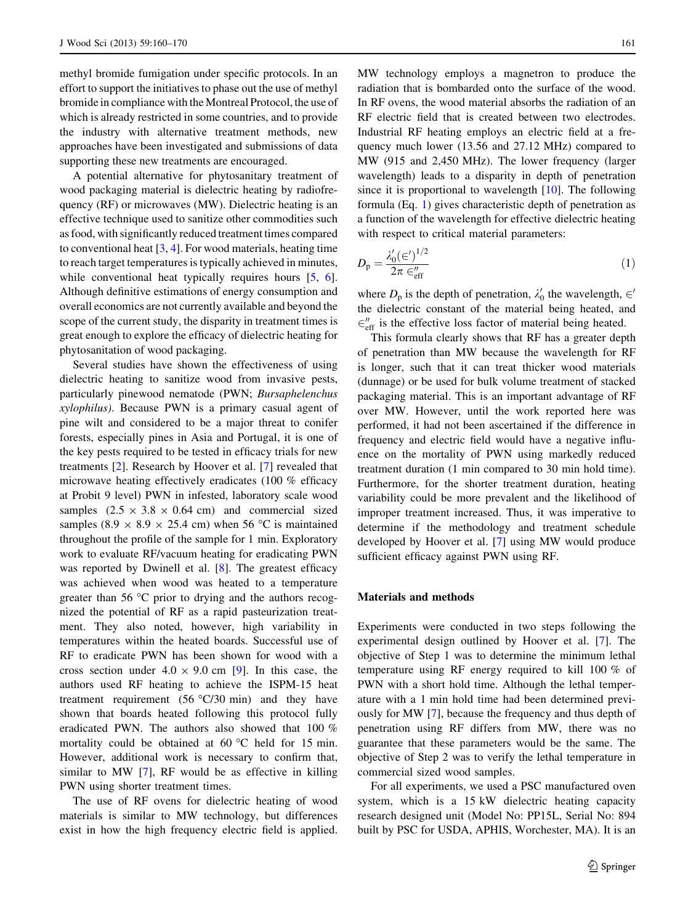methyl bromide fumigation under specific protocols. In an effort to support the initiatives to phase out the use of methyl bromide in compliance with the Montreal Protocol, the use of which is already restricted in some countries, and to provide the industry with alternative treatment methods, new approaches have been investigated and submissions of data supporting these new treatments are encouraged.

A potential alternative for phytosanitary treatment of wood packaging material is dielectric heating by radiofrequency (RF) or microwaves (MW). Dielectric heating is an effective technique used to sanitize other commodities such as food, with significantly reduced treatment times compared to conventional heat  $[3, 4]$  $[3, 4]$  $[3, 4]$  $[3, 4]$ . For wood materials, heating time to reach target temperatures is typically achieved in minutes, while conventional heat typically requires hours [[5,](#page-10-0) [6](#page-10-0)]. Although definitive estimations of energy consumption and overall economics are not currently available and beyond the scope of the current study, the disparity in treatment times is great enough to explore the efficacy of dielectric heating for phytosanitation of wood packaging.

Several studies have shown the effectiveness of using dielectric heating to sanitize wood from invasive pests, particularly pinewood nematode (PWN; Bursaphelenchus xylophilus). Because PWN is a primary casual agent of pine wilt and considered to be a major threat to conifer forests, especially pines in Asia and Portugal, it is one of the key pests required to be tested in efficacy trials for new treatments [\[2](#page-10-0)]. Research by Hoover et al. [[7\]](#page-10-0) revealed that microwave heating effectively eradicates (100 % efficacy at Probit 9 level) PWN in infested, laboratory scale wood samples  $(2.5 \times 3.8 \times 0.64 \text{ cm})$  and commercial sized samples (8.9  $\times$  8.9  $\times$  25.4 cm) when 56 °C is maintained throughout the profile of the sample for 1 min. Exploratory work to evaluate RF/vacuum heating for eradicating PWN was reported by Dwinell et al. [\[8](#page-10-0)]. The greatest efficacy was achieved when wood was heated to a temperature greater than 56  $\degree$ C prior to drying and the authors recognized the potential of RF as a rapid pasteurization treatment. They also noted, however, high variability in temperatures within the heated boards. Successful use of RF to eradicate PWN has been shown for wood with a cross section under  $4.0 \times 9.0$  cm [\[9](#page-10-0)]. In this case, the authors used RF heating to achieve the ISPM-15 heat treatment requirement  $(56 °C/30 min)$  and they have shown that boards heated following this protocol fully eradicated PWN. The authors also showed that 100 % mortality could be obtained at  $60^{\circ}$ C held for 15 min. However, additional work is necessary to confirm that, similar to MW [\[7](#page-10-0)], RF would be as effective in killing PWN using shorter treatment times.

The use of RF ovens for dielectric heating of wood materials is similar to MW technology, but differences exist in how the high frequency electric field is applied. MW technology employs a magnetron to produce the radiation that is bombarded onto the surface of the wood. In RF ovens, the wood material absorbs the radiation of an RF electric field that is created between two electrodes. Industrial RF heating employs an electric field at a frequency much lower (13.56 and 27.12 MHz) compared to MW (915 and 2,450 MHz). The lower frequency (larger wavelength) leads to a disparity in depth of penetration since it is proportional to wavelength [[10\]](#page-10-0). The following formula (Eq. 1) gives characteristic depth of penetration as a function of the wavelength for effective dielectric heating with respect to critical material parameters:

$$
D_{\mathbf{p}} = \frac{\lambda_0' (\epsilon')^{1/2}}{2\pi \epsilon_{\text{eff}}''}
$$
\n<sup>(1)</sup>

where  $D_p$  is the depth of penetration,  $\lambda'_0$  the wavelength,  $\in'$ the dielectric constant of the material being heated, and  $\epsilon''_{\text{eff}}$  is the effective loss factor of material being heated.

This formula clearly shows that RF has a greater depth of penetration than MW because the wavelength for RF is longer, such that it can treat thicker wood materials (dunnage) or be used for bulk volume treatment of stacked packaging material. This is an important advantage of RF over MW. However, until the work reported here was performed, it had not been ascertained if the difference in frequency and electric field would have a negative influence on the mortality of PWN using markedly reduced treatment duration (1 min compared to 30 min hold time). Furthermore, for the shorter treatment duration, heating variability could be more prevalent and the likelihood of improper treatment increased. Thus, it was imperative to determine if the methodology and treatment schedule developed by Hoover et al. [[7\]](#page-10-0) using MW would produce sufficient efficacy against PWN using RF.

#### Materials and methods

Experiments were conducted in two steps following the experimental design outlined by Hoover et al. [[7\]](#page-10-0). The objective of Step 1 was to determine the minimum lethal temperature using RF energy required to kill 100 % of PWN with a short hold time. Although the lethal temperature with a 1 min hold time had been determined previously for MW [\[7](#page-10-0)], because the frequency and thus depth of penetration using RF differs from MW, there was no guarantee that these parameters would be the same. The objective of Step 2 was to verify the lethal temperature in commercial sized wood samples.

For all experiments, we used a PSC manufactured oven system, which is a 15 kW dielectric heating capacity research designed unit (Model No: PP15L, Serial No: 894 built by PSC for USDA, APHIS, Worchester, MA). It is an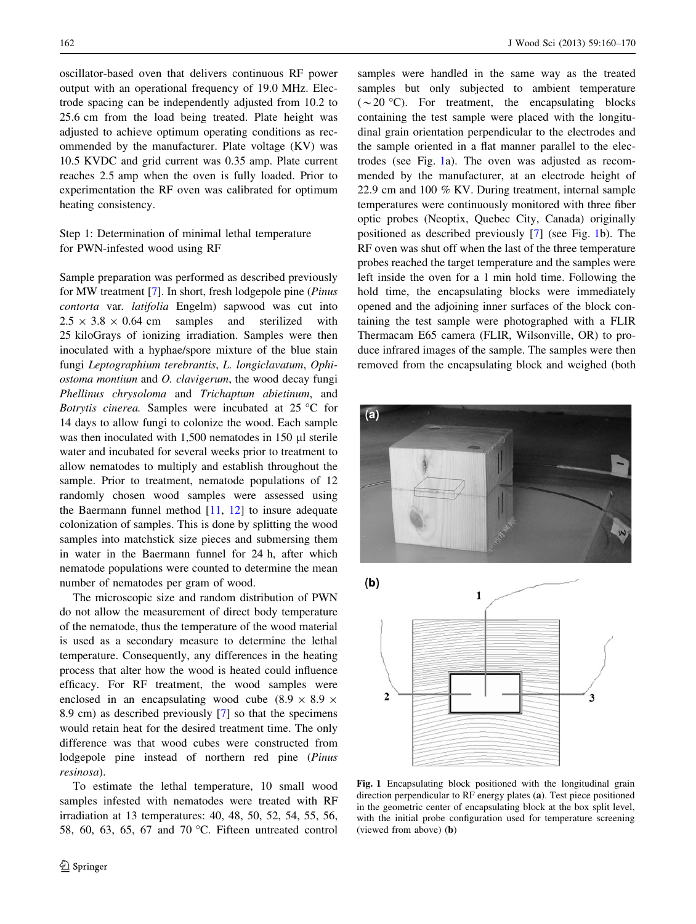oscillator-based oven that delivers continuous RF power output with an operational frequency of 19.0 MHz. Electrode spacing can be independently adjusted from 10.2 to 25.6 cm from the load being treated. Plate height was adjusted to achieve optimum operating conditions as recommended by the manufacturer. Plate voltage (KV) was 10.5 KVDC and grid current was 0.35 amp. Plate current reaches 2.5 amp when the oven is fully loaded. Prior to experimentation the RF oven was calibrated for optimum heating consistency.

# Step 1: Determination of minimal lethal temperature for PWN-infested wood using RF

Sample preparation was performed as described previously for MW treatment [[7\]](#page-10-0). In short, fresh lodgepole pine (Pinus contorta var. latifolia Engelm) sapwood was cut into  $2.5 \times 3.8 \times 0.64$  cm samples and sterilized with 25 kiloGrays of ionizing irradiation. Samples were then inoculated with a hyphae/spore mixture of the blue stain fungi Leptographium terebrantis, L. longiclavatum, Ophiostoma montium and O. clavigerum, the wood decay fungi Phellinus chrysoloma and Trichaptum abietinum, and Botrytis cinerea. Samples were incubated at  $25^{\circ}$ C for 14 days to allow fungi to colonize the wood. Each sample was then inoculated with  $1,500$  nematodes in 150  $\mu$ l sterile water and incubated for several weeks prior to treatment to allow nematodes to multiply and establish throughout the sample. Prior to treatment, nematode populations of 12 randomly chosen wood samples were assessed using the Baermann funnel method [\[11](#page-10-0), [12\]](#page-10-0) to insure adequate colonization of samples. This is done by splitting the wood samples into matchstick size pieces and submersing them in water in the Baermann funnel for 24 h, after which nematode populations were counted to determine the mean number of nematodes per gram of wood.

The microscopic size and random distribution of PWN do not allow the measurement of direct body temperature of the nematode, thus the temperature of the wood material is used as a secondary measure to determine the lethal temperature. Consequently, any differences in the heating process that alter how the wood is heated could influence efficacy. For RF treatment, the wood samples were enclosed in an encapsulating wood cube  $(8.9 \times 8.9 \times$ 8.9 cm) as described previously [[7\]](#page-10-0) so that the specimens would retain heat for the desired treatment time. The only difference was that wood cubes were constructed from lodgepole pine instead of northern red pine (Pinus resinosa).

To estimate the lethal temperature, 10 small wood samples infested with nematodes were treated with RF irradiation at 13 temperatures: 40, 48, 50, 52, 54, 55, 56, 58, 60, 63, 65, 67 and 70  $^{\circ}$ C. Fifteen untreated control samples were handled in the same way as the treated samples but only subjected to ambient temperature  $({\sim}20 \text{ °C})$ . For treatment, the encapsulating blocks containing the test sample were placed with the longitudinal grain orientation perpendicular to the electrodes and the sample oriented in a flat manner parallel to the electrodes (see Fig. 1a). The oven was adjusted as recommended by the manufacturer, at an electrode height of 22.9 cm and 100 % KV. During treatment, internal sample temperatures were continuously monitored with three fiber optic probes (Neoptix, Quebec City, Canada) originally positioned as described previously [[7\]](#page-10-0) (see Fig. 1b). The RF oven was shut off when the last of the three temperature probes reached the target temperature and the samples were left inside the oven for a 1 min hold time. Following the hold time, the encapsulating blocks were immediately opened and the adjoining inner surfaces of the block containing the test sample were photographed with a FLIR Thermacam E65 camera (FLIR, Wilsonville, OR) to produce infrared images of the sample. The samples were then removed from the encapsulating block and weighed (both





Fig. 1 Encapsulating block positioned with the longitudinal grain direction perpendicular to RF energy plates (a). Test piece positioned in the geometric center of encapsulating block at the box split level, with the initial probe configuration used for temperature screening (viewed from above) (b)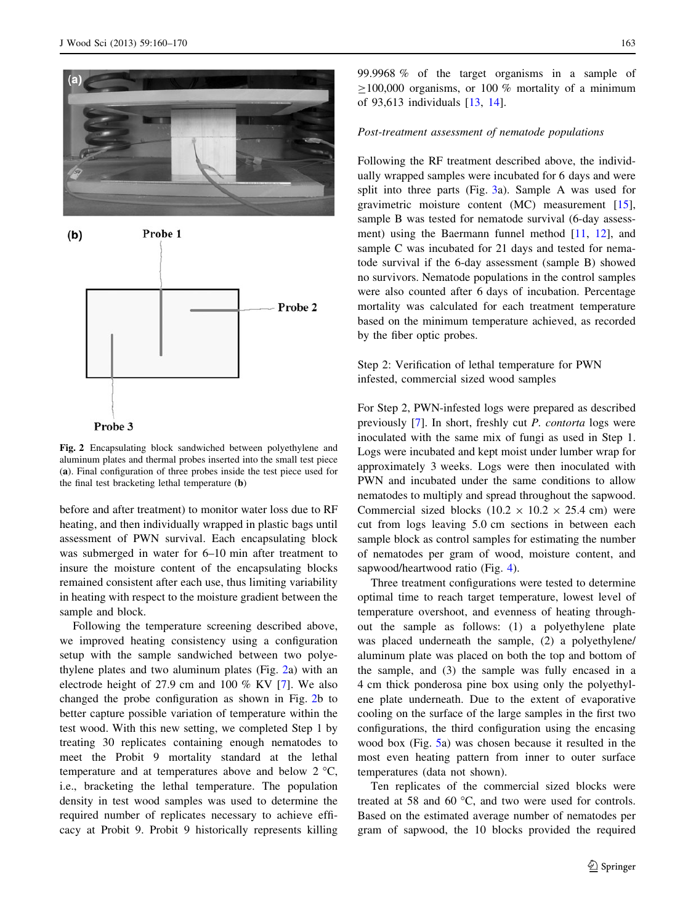



Fig. 2 Encapsulating block sandwiched between polyethylene and aluminum plates and thermal probes inserted into the small test piece (a). Final configuration of three probes inside the test piece used for

before and after treatment) to monitor water loss due to RF the final test bracketing lethal temperature (b)

heating, and then individually wrapped in plastic bags until assessment of PWN survival. Each encapsulating block was submerged in water for 6–10 min after treatment to insure the moisture content of the encapsulating blocks remained consistent after each use, thus limiting variability in heating with respect to the moisture gradient between the sample and block.

Following the temperature screening described above, we improved heating consistency using a configuration setup with the sample sandwiched between two polyethylene plates and two aluminum plates (Fig. 2a) with an electrode height of 27.9 cm and 100 % KV [\[7](#page-10-0)]. We also changed the probe configuration as shown in Fig. 2b to better capture possible variation of temperature within the test wood. With this new setting, we completed Step 1 by treating 30 replicates containing enough nematodes to meet the Probit 9 mortality standard at the lethal temperature and at temperatures above and below  $2^{\circ}C$ , i.e., bracketing the lethal temperature. The population density in test wood samples was used to determine the required number of replicates necessary to achieve efficacy at Probit 9. Probit 9 historically represents killing 99.9968 % of the target organisms in a sample of  $\geq$ 100,000 organisms, or 100 % mortality of a minimum of 93,613 individuals [\[13](#page-10-0), [14\]](#page-10-0).

## Post-treatment assessment of nematode populations

Following the RF treatment described above, the individually wrapped samples were incubated for 6 days and were split into three parts (Fig. [3](#page-4-0)a). Sample A was used for gravimetric moisture content (MC) measurement [\[15](#page-10-0)], sample B was tested for nematode survival (6-day assessment) using the Baermann funnel method [\[11](#page-10-0), [12](#page-10-0)], and sample C was incubated for 21 days and tested for nematode survival if the 6-day assessment (sample B) showed no survivors. Nematode populations in the control samples were also counted after 6 days of incubation. Percentage mortality was calculated for each treatment temperature based on the minimum temperature achieved, as recorded by the fiber optic probes.

## Step 2: Verification of lethal temperature for PWN infested, commercial sized wood samples

For Step 2, PWN-infested logs were prepared as described previously [\[7](#page-10-0)]. In short, freshly cut P. contorta logs were inoculated with the same mix of fungi as used in Step 1. Logs were incubated and kept moist under lumber wrap for approximately 3 weeks. Logs were then inoculated with PWN and incubated under the same conditions to allow nematodes to multiply and spread throughout the sapwood. Commercial sized blocks  $(10.2 \times 10.2 \times 25.4 \text{ cm})$  were cut from logs leaving 5.0 cm sections in between each sample block as control samples for estimating the number of nematodes per gram of wood, moisture content, and sapwood/heartwood ratio (Fig. [4](#page-4-0)).

Three treatment configurations were tested to determine optimal time to reach target temperature, lowest level of temperature overshoot, and evenness of heating throughout the sample as follows: (1) a polyethylene plate was placed underneath the sample, (2) a polyethylene/ aluminum plate was placed on both the top and bottom of the sample, and (3) the sample was fully encased in a 4 cm thick ponderosa pine box using only the polyethylene plate underneath. Due to the extent of evaporative cooling on the surface of the large samples in the first two configurations, the third configuration using the encasing wood box (Fig. [5](#page-4-0)a) was chosen because it resulted in the most even heating pattern from inner to outer surface temperatures (data not shown).

Ten replicates of the commercial sized blocks were treated at 58 and 60 $\degree$ C, and two were used for controls. Based on the estimated average number of nematodes per gram of sapwood, the 10 blocks provided the required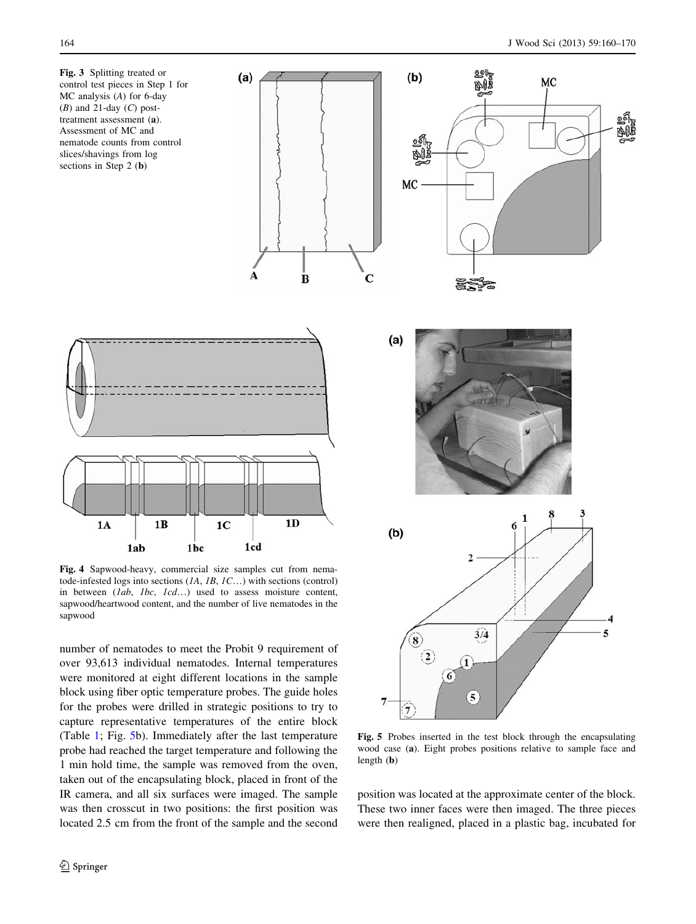<span id="page-4-0"></span>







Fig. 4 Sapwood-heavy, commercial size samples cut from nematode-infested logs into sections  $(IA, IB, IC...)$  with sections (control) in between (*lab*, *lbc*, *lcd*...) used to assess moisture content, sapwood/heartwood content, and the number of live nematodes in the sapwood

number of nematodes to meet the Probit 9 requirement of over 93,613 individual nematodes. Internal temperatures were monitored at eight different locations in the sample block using fiber optic temperature probes. The guide holes for the probes were drilled in strategic positions to try to capture representative temperatures of the entire block (Table [1](#page-5-0); Fig. 5b). Immediately after the last temperature probe had reached the target temperature and following the 1 min hold time, the sample was removed from the oven, taken out of the encapsulating block, placed in front of the IR camera, and all six surfaces were imaged. The sample was then crosscut in two positions: the first position was located 2.5 cm from the front of the sample and the second



Fig. 5 Probes inserted in the test block through the encapsulating wood case (a). Eight probes positions relative to sample face and length (b)

position was located at the approximate center of the block. These two inner faces were then imaged. The three pieces were then realigned, placed in a plastic bag, incubated for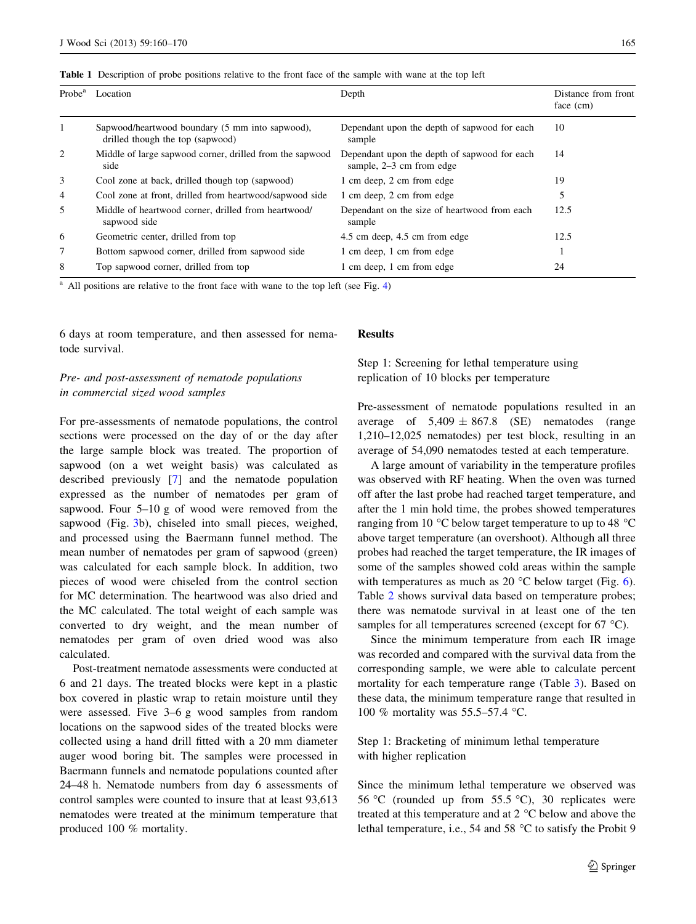<span id="page-5-0"></span>

|  | Table 1 Description of probe positions relative to the front face of the sample with wane at the top left |  |  |  |  |  |  |  |
|--|-----------------------------------------------------------------------------------------------------------|--|--|--|--|--|--|--|
|--|-----------------------------------------------------------------------------------------------------------|--|--|--|--|--|--|--|

| Probe <sup>a</sup> | Location                                                                            | Depth                                                                      | Distance from front<br>face (cm) |
|--------------------|-------------------------------------------------------------------------------------|----------------------------------------------------------------------------|----------------------------------|
|                    | Sapwood/heartwood boundary (5 mm into sapwood),<br>drilled though the top (sapwood) | Dependant upon the depth of sapwood for each<br>sample                     | 10                               |
| 2                  | Middle of large sapwood corner, drilled from the sapwood<br>side                    | Dependant upon the depth of sapwood for each<br>sample, $2-3$ cm from edge | 14                               |
| 3                  | Cool zone at back, drilled though top (sapwood)                                     | 1 cm deep, 2 cm from edge                                                  | 19                               |
| $\overline{4}$     | Cool zone at front, drilled from heartwood/sapwood side                             | 1 cm deep, 2 cm from edge                                                  | 5                                |
| 5                  | Middle of heartwood corner, drilled from heartwood/<br>sapwood side                 | Dependant on the size of heartwood from each<br>sample                     | 12.5                             |
| 6                  | Geometric center, drilled from top                                                  | 4.5 cm deep, 4.5 cm from edge                                              | 12.5                             |
| 7                  | Bottom sapwood corner, drilled from sapwood side                                    | 1 cm deep, 1 cm from edge                                                  |                                  |
| 8                  | Top sapwood corner, drilled from top                                                | 1 cm deep, 1 cm from edge                                                  | 24                               |

<sup>a</sup> All positions are relative to the front face with wane to the top left (see Fig. [4\)](#page-4-0)

6 days at room temperature, and then assessed for nematode survival.

# Pre- and post-assessment of nematode populations in commercial sized wood samples

For pre-assessments of nematode populations, the control sections were processed on the day of or the day after the large sample block was treated. The proportion of sapwood (on a wet weight basis) was calculated as described previously [\[7](#page-10-0)] and the nematode population expressed as the number of nematodes per gram of sapwood. Four 5–10 g of wood were removed from the sapwood (Fig. [3b](#page-4-0)), chiseled into small pieces, weighed, and processed using the Baermann funnel method. The mean number of nematodes per gram of sapwood (green) was calculated for each sample block. In addition, two pieces of wood were chiseled from the control section for MC determination. The heartwood was also dried and the MC calculated. The total weight of each sample was converted to dry weight, and the mean number of nematodes per gram of oven dried wood was also calculated.

Post-treatment nematode assessments were conducted at 6 and 21 days. The treated blocks were kept in a plastic box covered in plastic wrap to retain moisture until they were assessed. Five 3–6 g wood samples from random locations on the sapwood sides of the treated blocks were collected using a hand drill fitted with a 20 mm diameter auger wood boring bit. The samples were processed in Baermann funnels and nematode populations counted after 24–48 h. Nematode numbers from day 6 assessments of control samples were counted to insure that at least 93,613 nematodes were treated at the minimum temperature that produced 100 % mortality.

#### Results

Step 1: Screening for lethal temperature using replication of 10 blocks per temperature

Pre-assessment of nematode populations resulted in an average of  $5,409 \pm 867.8$  (SE) nematodes (range 1,210–12,025 nematodes) per test block, resulting in an average of 54,090 nematodes tested at each temperature.

A large amount of variability in the temperature profiles was observed with RF heating. When the oven was turned off after the last probe had reached target temperature, and after the 1 min hold time, the probes showed temperatures ranging from 10  $\degree$ C below target temperature to up to 48  $\degree$ C above target temperature (an overshoot). Although all three probes had reached the target temperature, the IR images of some of the samples showed cold areas within the sample with temperatures as much as 20  $^{\circ}$ C below target (Fig. [6](#page-6-0)). Table [2](#page-6-0) shows survival data based on temperature probes; there was nematode survival in at least one of the ten samples for all temperatures screened (except for  $67^{\circ}$ C).

Since the minimum temperature from each IR image was recorded and compared with the survival data from the corresponding sample, we were able to calculate percent mortality for each temperature range (Table [3](#page-7-0)). Based on these data, the minimum temperature range that resulted in 100 % mortality was 55.5–57.4 °C.

# Step 1: Bracketing of minimum lethal temperature with higher replication

Since the minimum lethal temperature we observed was 56 °C (rounded up from 55.5 °C), 30 replicates were treated at this temperature and at  $2^{\circ}$ C below and above the lethal temperature, i.e., 54 and 58  $^{\circ}$ C to satisfy the Probit 9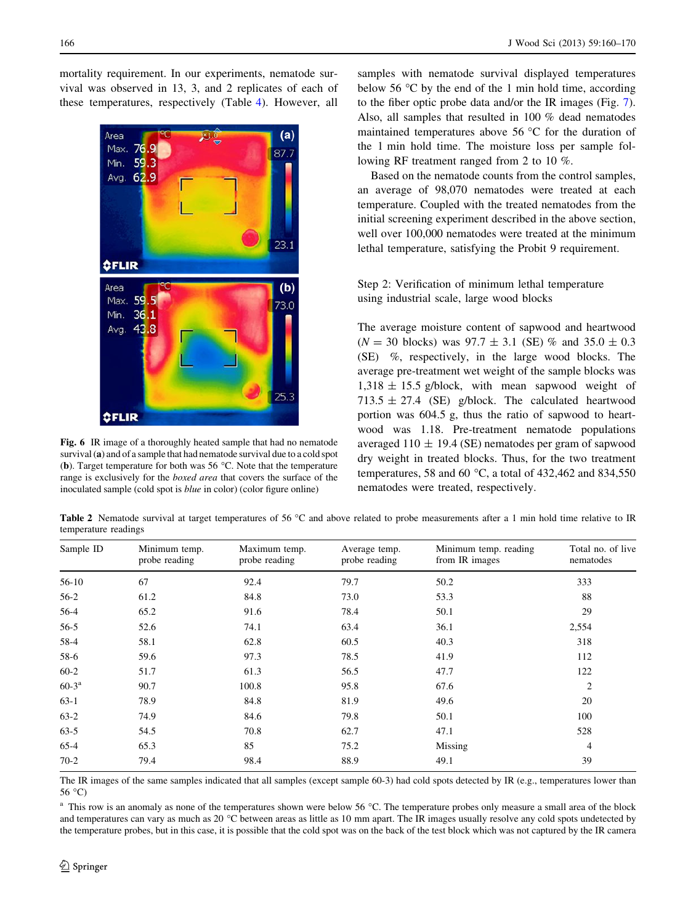<span id="page-6-0"></span>mortality requirement. In our experiments, nematode survival was observed in 13, 3, and 2 replicates of each of these temperatures, respectively (Table [4\)](#page-7-0). However, all



Fig. 6 IR image of a thoroughly heated sample that had no nematode survival (a) and of a sample that had nematode survival due to a cold spot (b). Target temperature for both was 56  $^{\circ}$ C. Note that the temperature range is exclusively for the *boxed area* that covers the surface of the inoculated sample (cold spot is blue in color) (color figure online)

samples with nematode survival displayed temperatures below 56  $\degree$ C by the end of the 1 min hold time, according to the fiber optic probe data and/or the IR images (Fig. [7](#page-8-0)). Also, all samples that resulted in 100 % dead nematodes maintained temperatures above  $56^{\circ}$ C for the duration of the 1 min hold time. The moisture loss per sample following RF treatment ranged from 2 to 10 %.

Based on the nematode counts from the control samples, an average of 98,070 nematodes were treated at each temperature. Coupled with the treated nematodes from the initial screening experiment described in the above section, well over 100,000 nematodes were treated at the minimum lethal temperature, satisfying the Probit 9 requirement.

# Step 2: Verification of minimum lethal temperature using industrial scale, large wood blocks

The average moisture content of sapwood and heartwood  $(N = 30$  blocks) was  $97.7 \pm 3.1$  (SE) % and  $35.0 \pm 0.3$ (SE) %, respectively, in the large wood blocks. The average pre-treatment wet weight of the sample blocks was  $1,318 \pm 15.5$  g/block, with mean sapwood weight of 713.5  $\pm$  27.4 (SE) g/block. The calculated heartwood portion was 604.5 g, thus the ratio of sapwood to heartwood was 1.18. Pre-treatment nematode populations averaged  $110 \pm 19.4$  (SE) nematodes per gram of sapwood dry weight in treated blocks. Thus, for the two treatment temperatures, 58 and 60  $^{\circ}$ C, a total of 432,462 and 834,550 nematodes were treated, respectively.

Table 2 Nematode survival at target temperatures of 56 °C and above related to probe measurements after a 1 min hold time relative to IR temperature readings

| Sample ID  | Minimum temp.<br>probe reading | Maximum temp.<br>probe reading | Average temp.<br>probe reading | Minimum temp. reading<br>from IR images | Total no. of live<br>nematodes |
|------------|--------------------------------|--------------------------------|--------------------------------|-----------------------------------------|--------------------------------|
| $56-10$    | 67                             | 92.4                           | 79.7                           | 50.2                                    | 333                            |
| $56-2$     | 61.2                           | 84.8                           | 73.0                           | 53.3                                    | 88                             |
| $56-4$     | 65.2                           | 91.6                           | 78.4                           | 50.1                                    | 29                             |
| $56-5$     | 52.6                           | 74.1                           | 63.4                           | 36.1                                    | 2,554                          |
| 58-4       | 58.1                           | 62.8                           | 60.5                           | 40.3                                    | 318                            |
| 58-6       | 59.6                           | 97.3                           | 78.5                           | 41.9                                    | 112                            |
| $60-2$     | 51.7                           | 61.3                           | 56.5                           | 47.7                                    | 122                            |
| $60 - 3^a$ | 90.7                           | 100.8                          | 95.8                           | 67.6                                    | 2                              |
| $63-1$     | 78.9                           | 84.8                           | 81.9                           | 49.6                                    | 20                             |
| $63-2$     | 74.9                           | 84.6                           | 79.8                           | 50.1                                    | 100                            |
| $63-5$     | 54.5                           | 70.8                           | 62.7                           | 47.1                                    | 528                            |
| $65 - 4$   | 65.3                           | 85                             | 75.2                           | Missing                                 | 4                              |
| $70-2$     | 79.4                           | 98.4                           | 88.9                           | 49.1                                    | 39                             |

The IR images of the same samples indicated that all samples (except sample 60-3) had cold spots detected by IR (e.g., temperatures lower than  $56^{\circ}$ C)

<sup>a</sup> This row is an anomaly as none of the temperatures shown were below 56 °C. The temperature probes only measure a small area of the block and temperatures can vary as much as  $20^{\circ}$ C between areas as little as 10 mm apart. The IR images usually resolve any cold spots undetected by the temperature probes, but in this case, it is possible that the cold spot was on the back of the test block which was not captured by the IR camera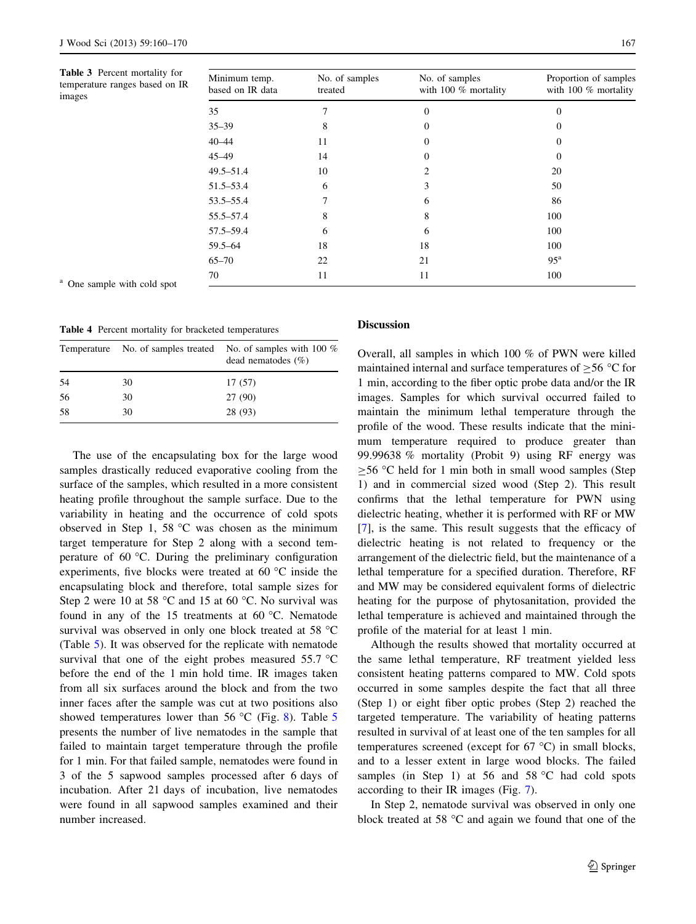<span id="page-7-0"></span>Table 3 Percent mortality for temperature ranges based on images

| Minimum temp.<br>based on IR data | No. of samples<br>treated | No. of samples<br>with 100 $%$ mortality | Proportion of samples<br>with 100 $%$ mortality |
|-----------------------------------|---------------------------|------------------------------------------|-------------------------------------------------|
| 35                                |                           | $\Omega$                                 | 0                                               |
| $35 - 39$                         | 8                         | $\Omega$                                 | 0                                               |
| $40 - 44$                         | 11                        | $\Omega$                                 | 0                                               |
| $45 - 49$                         | 14                        | $\Omega$                                 | 0                                               |
| $49.5 - 51.4$                     | 10                        | 2                                        | 20                                              |
| 51.5–53.4                         | 6                         | 3                                        | 50                                              |
| $53.5 - 55.4$                     | 7                         | 6                                        | 86                                              |
| 55.5–57.4                         | 8                         | 8                                        | 100                                             |
| $57.5 - 59.4$                     | 6                         | 6                                        | 100                                             |
| $59.5 - 64$                       | 18                        | 18                                       | 100                                             |
| $65 - 70$                         | 22                        | 21                                       | 95 <sup>a</sup>                                 |
| 70                                | 11                        | 11                                       | 100                                             |
|                                   |                           |                                          |                                                 |

<sup>a</sup> One sample with cold spot

Table 4 Percent mortality for bracketed temperatures

|    | Temperature No. of samples treated | No. of samples with 100 $%$<br>dead nematodes $(\% )$ |
|----|------------------------------------|-------------------------------------------------------|
| 54 | 30                                 | 17 (57)                                               |
| 56 | 30                                 | 27 (90)                                               |
| 58 | 30                                 | 28 (93)                                               |

The use of the encapsulating box for the large wood samples drastically reduced evaporative cooling from the surface of the samples, which resulted in a more consistent heating profile throughout the sample surface. Due to the variability in heating and the occurrence of cold spots observed in Step 1, 58  $\degree$ C was chosen as the minimum target temperature for Step 2 along with a second temperature of  $60^{\circ}$ C. During the preliminary configuration experiments, five blocks were treated at 60 $\degree$ C inside the encapsulating block and therefore, total sample sizes for Step 2 were 10 at 58  $\degree$ C and 15 at 60  $\degree$ C. No survival was found in any of the 15 treatments at 60  $^{\circ}$ C. Nematode survival was observed in only one block treated at 58 °C (Table [5](#page-8-0)). It was observed for the replicate with nematode survival that one of the eight probes measured  $55.7 \text{ °C}$ before the end of the 1 min hold time. IR images taken from all six surfaces around the block and from the two inner faces after the sample was cut at two positions also showed temperatures lower than [5](#page-8-0)6  $\degree$ C (Fig. [8\)](#page-8-0). Table 5 presents the number of live nematodes in the sample that failed to maintain target temperature through the profile for 1 min. For that failed sample, nematodes were found in 3 of the 5 sapwood samples processed after 6 days of incubation. After 21 days of incubation, live nematodes were found in all sapwood samples examined and their number increased.

#### Discussion

Overall, all samples in which 100 % of PWN were killed maintained internal and surface temperatures of  $\geq$ 56 °C for 1 min, according to the fiber optic probe data and/or the IR images. Samples for which survival occurred failed to maintain the minimum lethal temperature through the profile of the wood. These results indicate that the minimum temperature required to produce greater than 99.99638 % mortality (Probit 9) using RF energy was  $\geq$ 56 °C held for 1 min both in small wood samples (Step 1) and in commercial sized wood (Step 2). This result confirms that the lethal temperature for PWN using dielectric heating, whether it is performed with RF or MW [\[7](#page-10-0)], is the same. This result suggests that the efficacy of dielectric heating is not related to frequency or the arrangement of the dielectric field, but the maintenance of a lethal temperature for a specified duration. Therefore, RF and MW may be considered equivalent forms of dielectric heating for the purpose of phytosanitation, provided the lethal temperature is achieved and maintained through the profile of the material for at least 1 min.

Although the results showed that mortality occurred at the same lethal temperature, RF treatment yielded less consistent heating patterns compared to MW. Cold spots occurred in some samples despite the fact that all three (Step 1) or eight fiber optic probes (Step 2) reached the targeted temperature. The variability of heating patterns resulted in survival of at least one of the ten samples for all temperatures screened (except for  $67^{\circ}$ C) in small blocks, and to a lesser extent in large wood blocks. The failed samples (in Step 1) at 56 and 58  $^{\circ}$ C had cold spots according to their IR images (Fig. [7](#page-8-0)).

In Step 2, nematode survival was observed in only one block treated at 58  $\degree$ C and again we found that one of the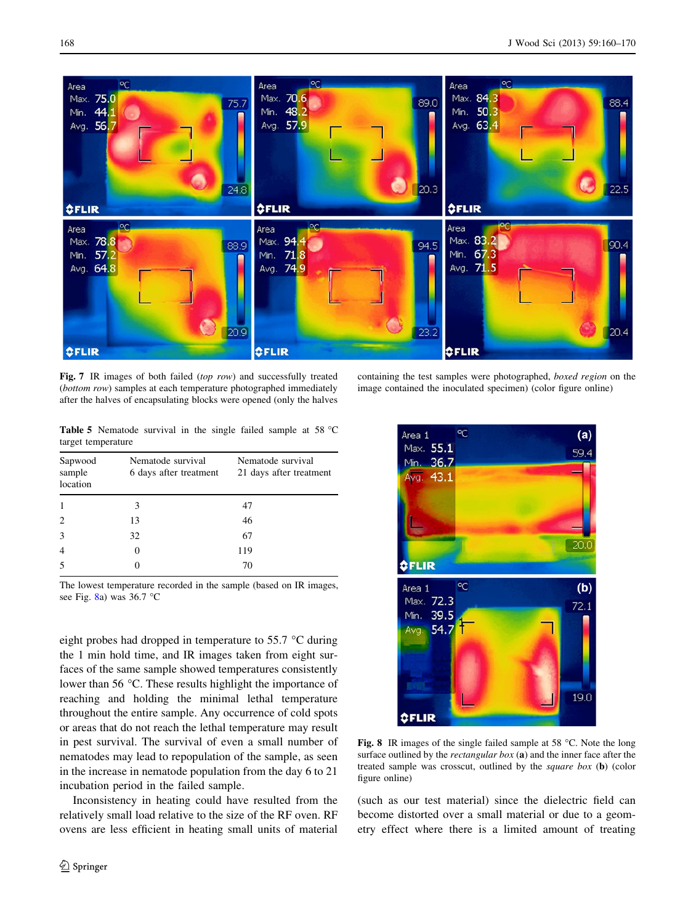<span id="page-8-0"></span>

Fig. 7 IR images of both failed (top row) and successfully treated (bottom row) samples at each temperature photographed immediately after the halves of encapsulating blocks were opened (only the halves

containing the test samples were photographed, boxed region on the image contained the inoculated specimen) (color figure online)

Table 5 Nematode survival in the single failed sample at 58 °C target temperature

| Sapwood<br>sample<br>location | Nematode survival<br>6 days after treatment | Nematode survival<br>21 days after treatment |
|-------------------------------|---------------------------------------------|----------------------------------------------|
|                               | 3                                           | 47                                           |
|                               | 13                                          | 46                                           |
| $\mathcal{E}$                 | 32                                          | 67                                           |
| $\overline{4}$                |                                             | 119                                          |
|                               |                                             | 70                                           |

The lowest temperature recorded in the sample (based on IR images, see Fig.  $8a)$  was 36.7 °C

eight probes had dropped in temperature to  $55.7 \degree C$  during the 1 min hold time, and IR images taken from eight surfaces of the same sample showed temperatures consistently lower than  $56^{\circ}$ C. These results highlight the importance of reaching and holding the minimal lethal temperature throughout the entire sample. Any occurrence of cold spots or areas that do not reach the lethal temperature may result in pest survival. The survival of even a small number of nematodes may lead to repopulation of the sample, as seen in the increase in nematode population from the day 6 to 21 incubation period in the failed sample.

Inconsistency in heating could have resulted from the relatively small load relative to the size of the RF oven. RF ovens are less efficient in heating small units of material



Fig. 8 IR images of the single failed sample at 58  $^{\circ}$ C. Note the long surface outlined by the *rectangular box* (a) and the inner face after the treated sample was crosscut, outlined by the square box (b) (color figure online)

(such as our test material) since the dielectric field can become distorted over a small material or due to a geometry effect where there is a limited amount of treating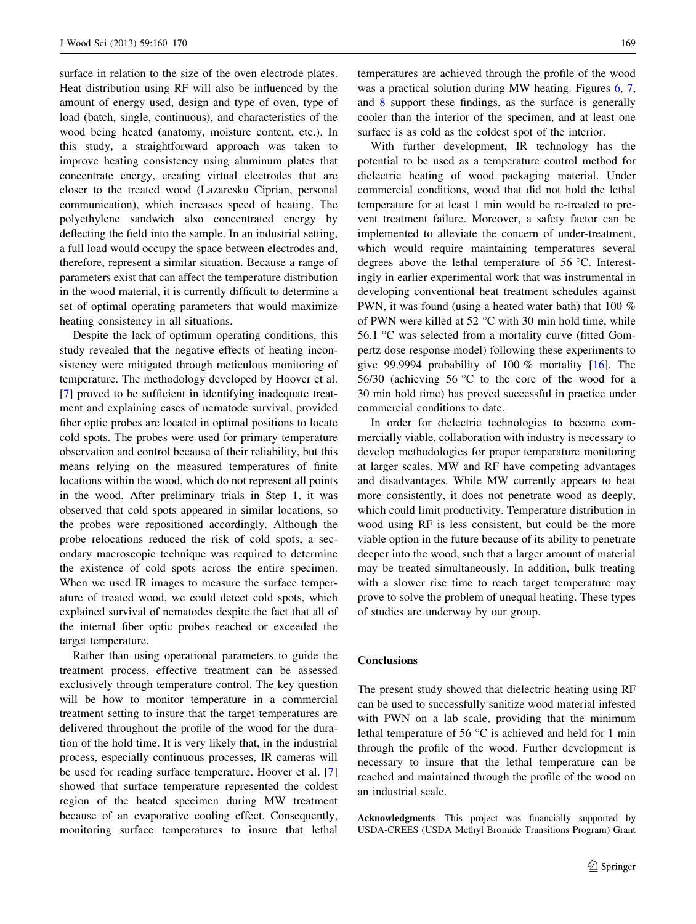surface in relation to the size of the oven electrode plates. Heat distribution using RF will also be influenced by the amount of energy used, design and type of oven, type of load (batch, single, continuous), and characteristics of the wood being heated (anatomy, moisture content, etc.). In this study, a straightforward approach was taken to improve heating consistency using aluminum plates that concentrate energy, creating virtual electrodes that are closer to the treated wood (Lazaresku Ciprian, personal communication), which increases speed of heating. The polyethylene sandwich also concentrated energy by deflecting the field into the sample. In an industrial setting, a full load would occupy the space between electrodes and, therefore, represent a similar situation. Because a range of parameters exist that can affect the temperature distribution in the wood material, it is currently difficult to determine a set of optimal operating parameters that would maximize heating consistency in all situations.

Despite the lack of optimum operating conditions, this study revealed that the negative effects of heating inconsistency were mitigated through meticulous monitoring of temperature. The methodology developed by Hoover et al. [\[7](#page-10-0)] proved to be sufficient in identifying inadequate treatment and explaining cases of nematode survival, provided fiber optic probes are located in optimal positions to locate cold spots. The probes were used for primary temperature observation and control because of their reliability, but this means relying on the measured temperatures of finite locations within the wood, which do not represent all points in the wood. After preliminary trials in Step 1, it was observed that cold spots appeared in similar locations, so the probes were repositioned accordingly. Although the probe relocations reduced the risk of cold spots, a secondary macroscopic technique was required to determine the existence of cold spots across the entire specimen. When we used IR images to measure the surface temperature of treated wood, we could detect cold spots, which explained survival of nematodes despite the fact that all of the internal fiber optic probes reached or exceeded the target temperature.

Rather than using operational parameters to guide the treatment process, effective treatment can be assessed exclusively through temperature control. The key question will be how to monitor temperature in a commercial treatment setting to insure that the target temperatures are delivered throughout the profile of the wood for the duration of the hold time. It is very likely that, in the industrial process, especially continuous processes, IR cameras will be used for reading surface temperature. Hoover et al. [[7\]](#page-10-0) showed that surface temperature represented the coldest region of the heated specimen during MW treatment because of an evaporative cooling effect. Consequently, monitoring surface temperatures to insure that lethal temperatures are achieved through the profile of the wood was a practical solution during MW heating. Figures [6,](#page-6-0) [7,](#page-8-0) and [8](#page-8-0) support these findings, as the surface is generally cooler than the interior of the specimen, and at least one surface is as cold as the coldest spot of the interior.

With further development, IR technology has the potential to be used as a temperature control method for dielectric heating of wood packaging material. Under commercial conditions, wood that did not hold the lethal temperature for at least 1 min would be re-treated to prevent treatment failure. Moreover, a safety factor can be implemented to alleviate the concern of under-treatment, which would require maintaining temperatures several degrees above the lethal temperature of  $56^{\circ}$ C. Interestingly in earlier experimental work that was instrumental in developing conventional heat treatment schedules against PWN, it was found (using a heated water bath) that 100 % of PWN were killed at 52  $\degree$ C with 30 min hold time, while 56.1  $\degree$ C was selected from a mortality curve (fitted Gompertz dose response model) following these experiments to give 99.9994 probability of 100  $\%$  mortality [\[16](#page-10-0)]. The 56/30 (achieving 56  $\degree$ C to the core of the wood for a 30 min hold time) has proved successful in practice under commercial conditions to date.

In order for dielectric technologies to become commercially viable, collaboration with industry is necessary to develop methodologies for proper temperature monitoring at larger scales. MW and RF have competing advantages and disadvantages. While MW currently appears to heat more consistently, it does not penetrate wood as deeply, which could limit productivity. Temperature distribution in wood using RF is less consistent, but could be the more viable option in the future because of its ability to penetrate deeper into the wood, such that a larger amount of material may be treated simultaneously. In addition, bulk treating with a slower rise time to reach target temperature may prove to solve the problem of unequal heating. These types of studies are underway by our group.

### **Conclusions**

The present study showed that dielectric heating using RF can be used to successfully sanitize wood material infested with PWN on a lab scale, providing that the minimum lethal temperature of 56  $\degree$ C is achieved and held for 1 min through the profile of the wood. Further development is necessary to insure that the lethal temperature can be reached and maintained through the profile of the wood on an industrial scale.

Acknowledgments This project was financially supported by USDA-CREES (USDA Methyl Bromide Transitions Program) Grant